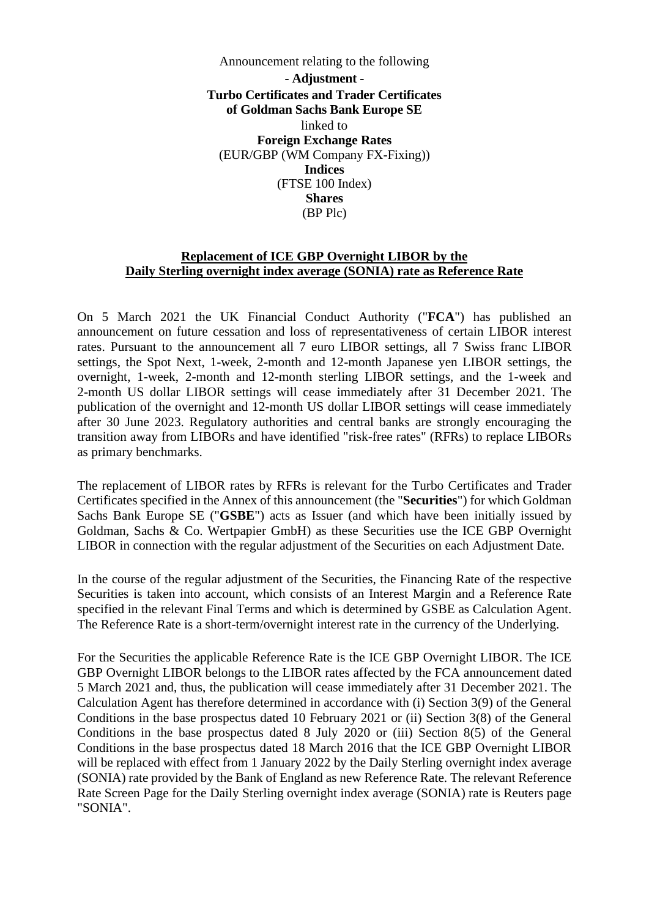Announcement relating to the following **- Adjustment - Turbo Certificates and Trader Certificates of Goldman Sachs Bank Europe SE**  linked to **Foreign Exchange Rates**  (EUR/GBP (WM Company FX-Fixing)) **Indices**  (FTSE 100 Index) **Shares**  (BP Plc)

## **Replacement of ICE GBP Overnight LIBOR by the Daily Sterling overnight index average (SONIA) rate as Reference Rate**

On 5 March 2021 the UK Financial Conduct Authority ("**FCA**") has published an [announcement on future cessation and loss of representativeness of certain LIBOR interest](https://www.fca.org.uk/publication/documents/future-cessation-loss-representativeness-libor-benchmarks.pdf)  [rates. Pursuant to the announcement all 7 euro LIBOR settings, all 7 Swiss franc LIBOR](https://www.fca.org.uk/publication/documents/future-cessation-loss-representativeness-libor-benchmarks.pdf)  settings, the Spot Next, 1-week, 2-month and 12-month Japanese yen LIBOR settings, the overnight, 1-week, 2-month and 12-month sterling LIBOR settings, and the 1-week and 2-month US dollar LIBOR settings will cease immediately after 31 December 2021. The publication of the overnight and 12-month US dollar LIBOR settings will cease immediately after 30 June 2023. Regulatory authorities and central banks are strongly encouraging the transition away from LIBORs and have identified "risk-free rates" (RFRs) to replace LIBORs as primary benchmarks.

The replacement of LIBOR rates by RFRs is relevant for the Turbo Certificates and Trader Certificates specified in the Annex of this announcement (the "**Securities**") for which Goldman Sachs Bank Europe SE ("**GSBE**") acts as Issuer (and which have been initially issued by Goldman, Sachs & Co. Wertpapier GmbH) as these Securities use the ICE GBP Overnight LIBOR in connection with the regular adjustment of the Securities on each Adjustment Date.

In the course of the regular adjustment of the Securities, the Financing Rate of the respective Securities is taken into account, which consists of an Interest Margin and a Reference Rate specified in the relevant Final Terms and which is determined by GSBE as Calculation Agent. The Reference Rate is a short-term/overnight interest rate in the currency of the Underlying.

For the Securities the applicable Reference Rate is the ICE GBP Overnight LIBOR. The ICE GBP Overnight LIBOR belongs to the LIBOR rates affected by the FCA announcement dated 5 March 2021 and, thus, the publication will cease immediately after 31 December 2021. The Calculation Agent has therefore determined in accordance with (i) Section 3(9) of the General Conditions in the base prospectus dated 10 February 2021 or (ii) Section 3(8) of the General Conditions in the base prospectus dated 8 July 2020 or (iii) Section 8(5) of the General Conditions in the base prospectus dated 18 March 2016 that the ICE GBP Overnight LIBOR will be replaced with effect from 1 January 2022 by the Daily Sterling overnight index average (SONIA) rate provided by the Bank of England as new Reference Rate. The relevant Reference Rate Screen Page for the Daily Sterling overnight index average (SONIA) rate is Reuters page "SONIA".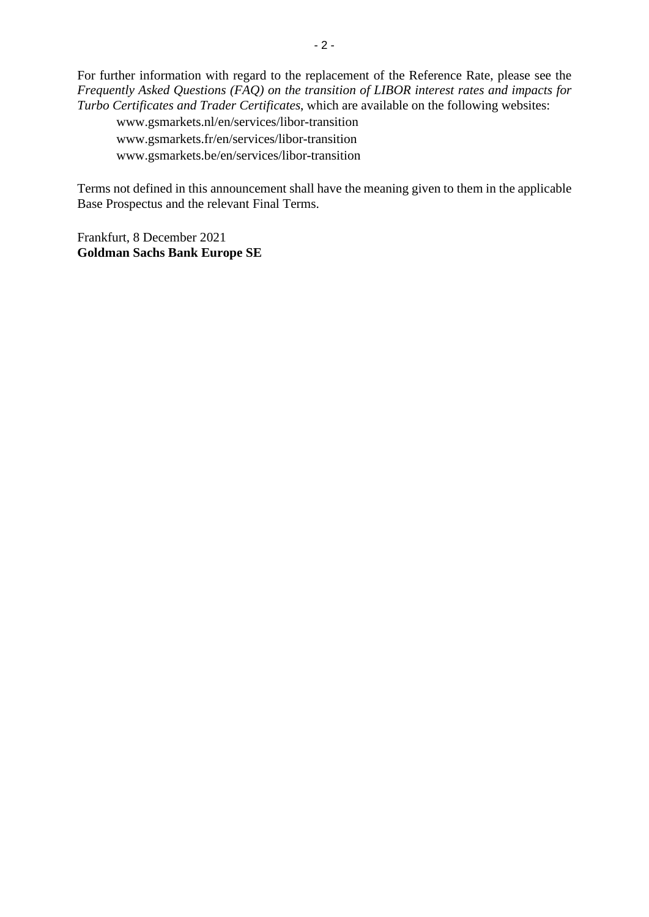For further information with regard to the replacement of the Reference Rate, please see the *Frequently Asked Questions (FAQ) on the transition of LIBOR interest rates and impacts for Turbo Certificates and Trader Certificates*, which are available on the following websites:

www.gsmarkets.nl/en/services/libor-transition www.gsmarkets.fr/en/services/libor-transition www.gsmarkets.be/en/services/libor-transition

Terms not defined in this announcement shall have the meaning given to them in the applicable Base Prospectus and the relevant Final Terms.

Frankfurt, 8 December 2021 **Goldman Sachs Bank Europe SE**